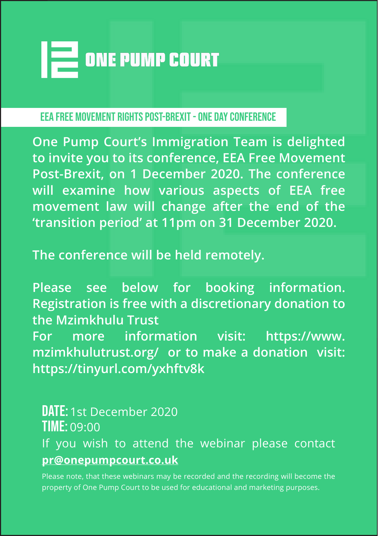

EEA Free Movement Rights Post-Brexit - One Day Conference

**One Pump Court's Immigration Team is delighted to invite you to its conference, EEA Free Movement Post-Brexit, on 1 December 2020. The conference will examine how various aspects of EEA free movement law will change after the end of the 'transition period' at 11pm on 31 December 2020.**

**The conference will be held remotely.**

**Please see below for booking information. Registration is free with a discretionary donation to the Mzimkhulu Trust**

**For more information visit: https://www. mzimkhulutrust.org/ or to make a donation visit: https://tinyurl.com/yxhftv8k**

DATE: 1st December 2020 Time: 09:00 If you wish to attend the webinar please contact **pr@onepumpcourt.co.uk**

Please note, that these webinars may be recorded and the recording will become the property of One Pump Court to be used for educational and marketing purposes.